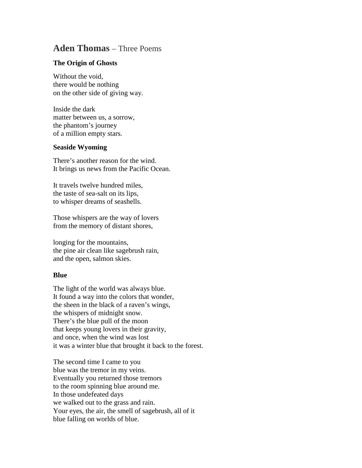## **Aden Thomas** – Three Poems

## **The Origin of Ghosts**

Without the void, there would be nothing on the other side of giving way.

Inside the dark matter between us, a sorrow, the phantom's journey of a million empty stars.

## **Seaside Wyoming**

There's another reason for the wind. It brings us news from the Pacific Ocean.

It travels twelve hundred miles, the taste of sea-salt on its lips, to whisper dreams of seashells.

Those whispers are the way of lovers from the memory of distant shores,

longing for the mountains, the pine air clean like sagebrush rain, and the open, salmon skies.

## **Blue**

The light of the world was always blue. It found a way into the colors that wonder, the sheen in the black of a raven's wings, the whispers of midnight snow. There's the blue pull of the moon that keeps young lovers in their gravity, and once, when the wind was lost it was a winter blue that brought it back to the forest.

The second time I came to you blue was the tremor in my veins. Eventually you returned those tremors to the room spinning blue around me. In those undefeated days we walked out to the grass and rain. Your eyes, the air, the smell of sagebrush, all of it blue falling on worlds of blue.